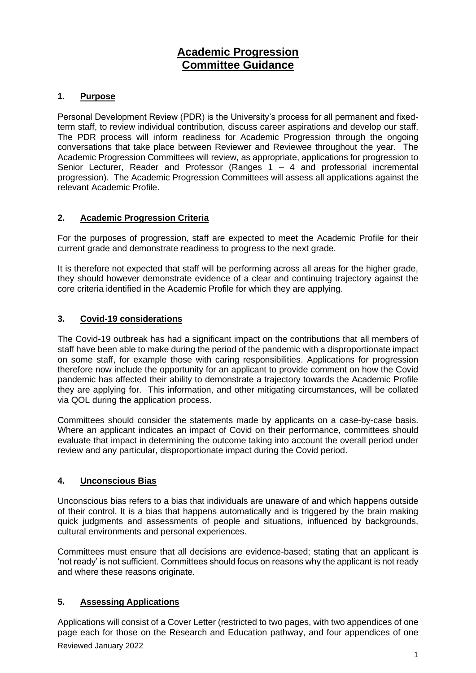# **Academic Progression Committee Guidance**

## **1. Purpose**

Personal Development Review (PDR) is the University's process for all permanent and fixedterm staff, to review individual contribution, discuss career aspirations and develop our staff. The PDR process will inform readiness for Academic Progression through the ongoing conversations that take place between Reviewer and Reviewee throughout the year. The Academic Progression Committees will review, as appropriate, applications for progression to Senior Lecturer, Reader and Professor (Ranges 1 – 4 and professorial incremental progression). The Academic Progression Committees will assess all applications against the relevant Academic Profile.

## **2. Academic Progression Criteria**

For the purposes of progression, staff are expected to meet the Academic Profile for their current grade and demonstrate readiness to progress to the next grade.

It is therefore not expected that staff will be performing across all areas for the higher grade, they should however demonstrate evidence of a clear and continuing trajectory against the core criteria identified in the Academic Profile for which they are applying.

### **3. Covid-19 considerations**

The Covid-19 outbreak has had a significant impact on the contributions that all members of staff have been able to make during the period of the pandemic with a disproportionate impact on some staff, for example those with caring responsibilities. Applications for progression therefore now include the opportunity for an applicant to provide comment on how the Covid pandemic has affected their ability to demonstrate a trajectory towards the Academic Profile they are applying for. This information, and other mitigating circumstances, will be collated via QOL during the application process.

Committees should consider the statements made by applicants on a case-by-case basis. Where an applicant indicates an impact of Covid on their performance, committees should evaluate that impact in determining the outcome taking into account the overall period under review and any particular, disproportionate impact during the Covid period.

## **4. Unconscious Bias**

Unconscious bias refers to a bias that individuals are unaware of and which happens outside of their control. It is a bias that happens automatically and is triggered by the brain making quick judgments and assessments of people and situations, influenced by backgrounds, cultural environments and personal experiences.

Committees must ensure that all decisions are evidence-based; stating that an applicant is 'not ready' is not sufficient. Committees should focus on reasons why the applicant is not ready and where these reasons originate.

## **5. Assessing Applications**

Reviewed January 2022 Applications will consist of a Cover Letter (restricted to two pages, with two appendices of one page each for those on the Research and Education pathway, and four appendices of one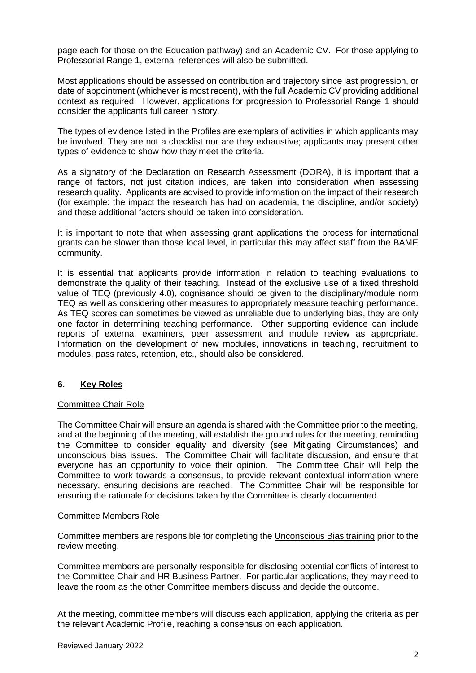page each for those on the Education pathway) and an Academic CV. For those applying to Professorial Range 1, external references will also be submitted.

Most applications should be assessed on contribution and trajectory since last progression, or date of appointment (whichever is most recent), with the full Academic CV providing additional context as required. However, applications for progression to Professorial Range 1 should consider the applicants full career history.

The types of evidence listed in the Profiles are exemplars of activities in which applicants may be involved. They are not a checklist nor are they exhaustive; applicants may present other types of evidence to show how they meet the criteria.

As a signatory of the Declaration on Research Assessment (DORA), it is important that a range of factors, not just citation indices, are taken into consideration when assessing research quality. Applicants are advised to provide information on the impact of their research (for example: the impact the research has had on academia, the discipline, and/or society) and these additional factors should be taken into consideration.

It is important to note that when assessing grant applications the process for international grants can be slower than those local level, in particular this may affect staff from the BAME community.

It is essential that applicants provide information in relation to teaching evaluations to demonstrate the quality of their teaching. Instead of the exclusive use of a fixed threshold value of TEQ (previously 4.0), cognisance should be given to the disciplinary/module norm TEQ as well as considering other measures to appropriately measure teaching performance. As TEQ scores can sometimes be viewed as unreliable due to underlying bias, they are only one factor in determining teaching performance. Other supporting evidence can include reports of external examiners, peer assessment and module review as appropriate. Information on the development of new modules, innovations in teaching, recruitment to modules, pass rates, retention, etc., should also be considered.

## **6. Key Roles**

#### Committee Chair Role

The Committee Chair will ensure an agenda is shared with the Committee prior to the meeting, and at the beginning of the meeting, will establish the ground rules for the meeting, reminding the Committee to consider equality and diversity (see Mitigating Circumstances) and unconscious bias issues. The Committee Chair will facilitate discussion, and ensure that everyone has an opportunity to voice their opinion. The Committee Chair will help the Committee to work towards a consensus, to provide relevant contextual information where necessary, ensuring decisions are reached. The Committee Chair will be responsible for ensuring the rationale for decisions taken by the Committee is clearly documented.

#### Committee Members Role

Committee members are responsible for completing the [Unconscious Bias training](https://www.qub.ac.uk/sites/stdp/coursedetails/UnconsciousBias.html) prior to the review meeting.

Committee members are personally responsible for disclosing potential conflicts of interest to the Committee Chair and HR Business Partner. For particular applications, they may need to leave the room as the other Committee members discuss and decide the outcome.

At the meeting, committee members will discuss each application, applying the criteria as per the relevant Academic Profile, reaching a consensus on each application.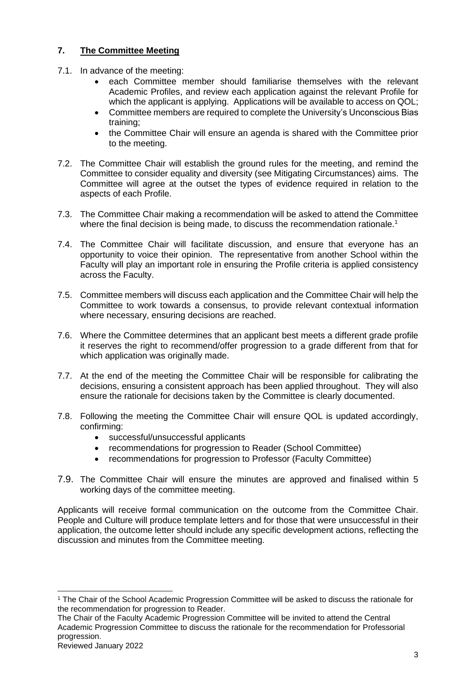## **7. The Committee Meeting**

- 7.1. In advance of the meeting:
	- each Committee member should familiarise themselves with the relevant Academic Profiles, and review each application against the relevant Profile for which the applicant is applying. Applications will be available to access on QOL;
	- Committee members are required to complete the University's Unconscious Bias training;
	- the Committee Chair will ensure an agenda is shared with the Committee prior to the meeting.
- 7.2. The Committee Chair will establish the ground rules for the meeting, and remind the Committee to consider equality and diversity (see Mitigating Circumstances) aims. The Committee will agree at the outset the types of evidence required in relation to the aspects of each Profile.
- 7.3. The Committee Chair making a recommendation will be asked to attend the Committee where the final decision is being made, to discuss the recommendation rationale.<sup>1</sup>
- 7.4. The Committee Chair will facilitate discussion, and ensure that everyone has an opportunity to voice their opinion. The representative from another School within the Faculty will play an important role in ensuring the Profile criteria is applied consistency across the Faculty.
- 7.5. Committee members will discuss each application and the Committee Chair will help the Committee to work towards a consensus, to provide relevant contextual information where necessary, ensuring decisions are reached.
- 7.6. Where the Committee determines that an applicant best meets a different grade profile it reserves the right to recommend/offer progression to a grade different from that for which application was originally made.
- 7.7. At the end of the meeting the Committee Chair will be responsible for calibrating the decisions, ensuring a consistent approach has been applied throughout. They will also ensure the rationale for decisions taken by the Committee is clearly documented.
- 7.8. Following the meeting the Committee Chair will ensure QOL is updated accordingly, confirming:
	- successful/unsuccessful applicants
	- recommendations for progression to Reader (School Committee)
	- recommendations for progression to Professor (Faculty Committee)
- 7.9. The Committee Chair will ensure the minutes are approved and finalised within 5 working days of the committee meeting.

Applicants will receive formal communication on the outcome from the Committee Chair. People and Culture will produce template letters and for those that were unsuccessful in their application, the outcome letter should include any specific development actions, reflecting the discussion and minutes from the Committee meeting.

<sup>1</sup> The Chair of the School Academic Progression Committee will be asked to discuss the rationale for the recommendation for progression to Reader.

The Chair of the Faculty Academic Progression Committee will be invited to attend the Central Academic Progression Committee to discuss the rationale for the recommendation for Professorial progression.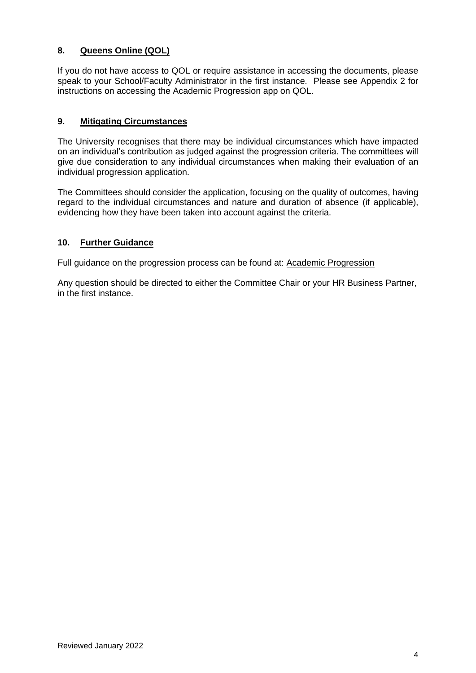## **8. Queens Online (QOL)**

If you do not have access to QOL or require assistance in accessing the documents, please speak to your School/Faculty Administrator in the first instance. Please see Appendix 2 for instructions on accessing the Academic Progression app on QOL.

#### **9. Mitigating Circumstances**

The University recognises that there may be individual circumstances which have impacted on an individual's contribution as judged against the progression criteria. The committees will give due consideration to any individual circumstances when making their evaluation of an individual progression application.

The Committees should consider the application, focusing on the quality of outcomes, having regard to the individual circumstances and nature and duration of absence (if applicable), evidencing how they have been taken into account against the criteria.

#### **10. Further Guidance**

Full guidance on the progression process can be found at: [Academic Progression](https://www.qub.ac.uk/directorates/HumanResources/employees/career-progression/academic-progression/)

Any question should be directed to either the Committee Chair or your HR Business Partner, in the first instance.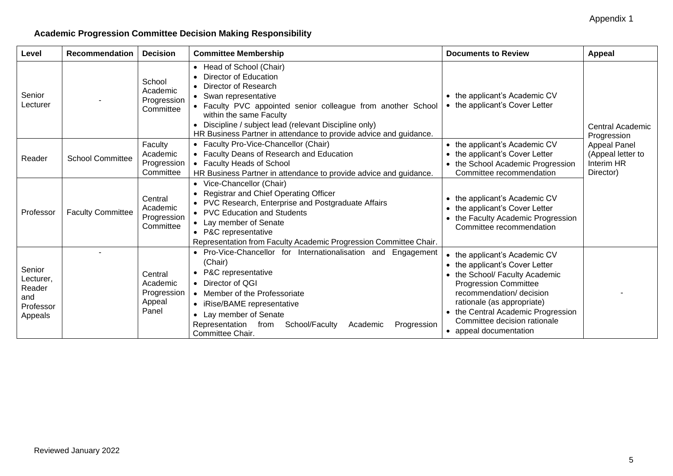## **Academic Progression Committee Decision Making Responsibility**

| Level                                                        | Recommendation           | <b>Decision</b>                                       | <b>Committee Membership</b>                                                                                                                                                                                                                                                                                                                                                                     | <b>Documents to Review</b>                                                                                                                                                                                                                                                                  | Appeal                          |  |  |  |  |
|--------------------------------------------------------------|--------------------------|-------------------------------------------------------|-------------------------------------------------------------------------------------------------------------------------------------------------------------------------------------------------------------------------------------------------------------------------------------------------------------------------------------------------------------------------------------------------|---------------------------------------------------------------------------------------------------------------------------------------------------------------------------------------------------------------------------------------------------------------------------------------------|---------------------------------|--|--|--|--|
| Senior<br>Lecturer                                           |                          | School<br>Academic<br>Progression<br>Committee        | • Head of School (Chair)<br>• Director of Education<br>• Director of Research<br>• Swan representative<br>• Faculty PVC appointed senior colleague from another School<br>within the same Faculty<br>Discipline / subject lead (relevant Discipline only)<br>HR Business Partner in attendance to provide advice and guidance.                                                                  | • the applicant's Academic CV<br>• the applicant's Cover Letter                                                                                                                                                                                                                             | Central Academic<br>Progression |  |  |  |  |
| Reader                                                       | <b>School Committee</b>  | Faculty<br>Academic<br>Progression<br>Committee       | • Faculty Pro-Vice-Chancellor (Chair)<br>• the applicant's Academic CV<br><b>Appeal Panel</b><br>• Faculty Deans of Research and Education<br>(Appeal letter to<br>• the applicant's Cover Letter<br>Interim HR<br>• Faculty Heads of School<br>• the School Academic Progression<br>Director)<br>Committee recommendation<br>HR Business Partner in attendance to provide advice and guidance. |                                                                                                                                                                                                                                                                                             |                                 |  |  |  |  |
| Professor                                                    | <b>Faculty Committee</b> | Central<br>Academic<br>Progression<br>Committee       | • Vice-Chancellor (Chair)<br>• Registrar and Chief Operating Officer<br>• PVC Research, Enterprise and Postgraduate Affairs<br>• PVC Education and Students<br>• Lay member of Senate<br>• P&C representative<br>Representation from Faculty Academic Progression Committee Chair.                                                                                                              | • the applicant's Academic CV<br>the applicant's Cover Letter<br>the Faculty Academic Progression<br>Committee recommendation                                                                                                                                                               |                                 |  |  |  |  |
| Senior<br>Lecturer,<br>Reader<br>and<br>Professor<br>Appeals |                          | Central<br>Academic<br>Progression<br>Appeal<br>Panel | • Pro-Vice-Chancellor for Internationalisation and Engagement<br>(Chair)<br>• P&C representative<br>• Director of QGI<br>• Member of the Professoriate<br>• iRise/BAME representative<br>• Lay member of Senate<br>Representation<br>School/Faculty<br>Progression<br>Academic<br>from<br>Committee Chair.                                                                                      | • the applicant's Academic CV<br>• the applicant's Cover Letter<br>• the School/ Faculty Academic<br><b>Progression Committee</b><br>recommendation/ decision<br>rationale (as appropriate)<br>• the Central Academic Progression<br>Committee decision rationale<br>• appeal documentation |                                 |  |  |  |  |